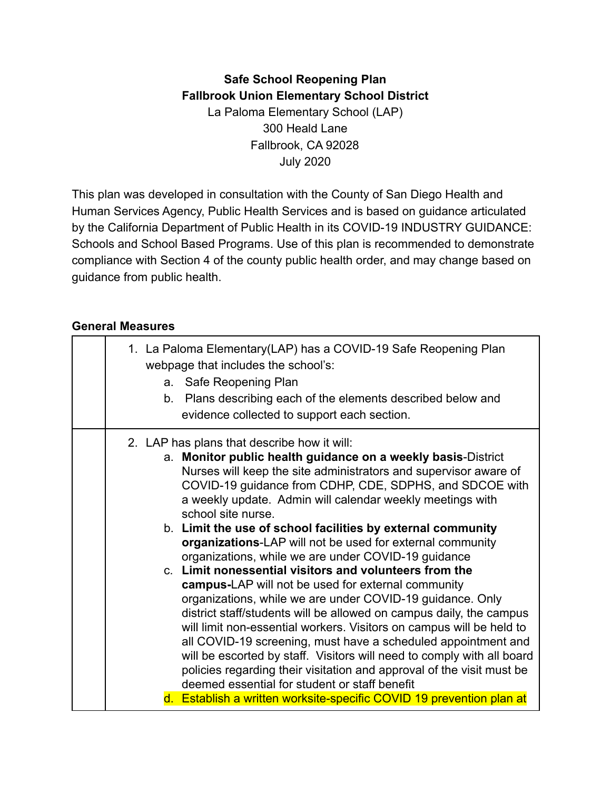#### **Safe School Reopening Plan Fallbrook Union Elementary School District** La Paloma Elementary School (LAP) 300 Heald Lane Fallbrook, CA 92028 July 2020

This plan was developed in consultation with the County of San Diego Health and Human Services Agency, Public Health Services and is based on guidance articulated by the California Department of Public Health in its COVID-19 INDUSTRY GUIDANCE: Schools and School Based Programs. Use of this plan is recommended to demonstrate compliance with Section 4 of the county public health order, and may change based on guidance from public health.

#### **General Measures**

| 1. La Paloma Elementary (LAP) has a COVID-19 Safe Reopening Plan<br>webpage that includes the school's: |
|---------------------------------------------------------------------------------------------------------|
| a. Safe Reopening Plan                                                                                  |
| Plans describing each of the elements described below and<br>b.                                         |
|                                                                                                         |
| evidence collected to support each section.                                                             |
| 2. LAP has plans that describe how it will:                                                             |
| a. Monitor public health guidance on a weekly basis-District                                            |
| Nurses will keep the site administrators and supervisor aware of                                        |
| COVID-19 guidance from CDHP, CDE, SDPHS, and SDCOE with                                                 |
| a weekly update. Admin will calendar weekly meetings with                                               |
| school site nurse.                                                                                      |
| b. Limit the use of school facilities by external community                                             |
| organizations-LAP will not be used for external community                                               |
| organizations, while we are under COVID-19 guidance                                                     |
| c. Limit nonessential visitors and volunteers from the                                                  |
| campus-LAP will not be used for external community                                                      |
| organizations, while we are under COVID-19 guidance. Only                                               |
| district staff/students will be allowed on campus daily, the campus                                     |
| will limit non-essential workers. Visitors on campus will be held to                                    |
| all COVID-19 screening, must have a scheduled appointment and                                           |
| will be escorted by staff. Visitors will need to comply with all board                                  |
| policies regarding their visitation and approval of the visit must be                                   |
| deemed essential for student or staff benefit                                                           |
| d. Establish a written worksite-specific COVID 19 prevention plan at                                    |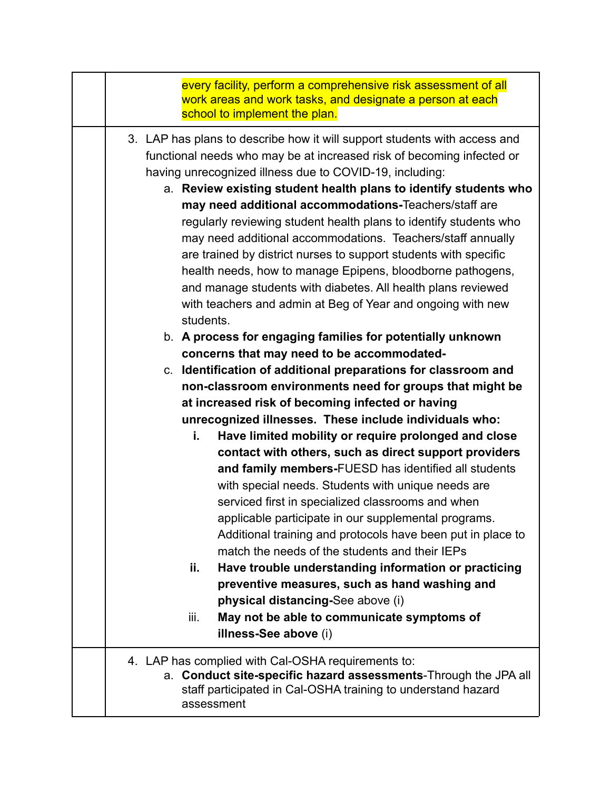| every facility, perform a comprehensive risk assessment of all<br>work areas and work tasks, and designate a person at each<br>school to implement the plan.                                                                                                                                                                                                                                                                                                                                                                                                                                                                                                                                                                                    |
|-------------------------------------------------------------------------------------------------------------------------------------------------------------------------------------------------------------------------------------------------------------------------------------------------------------------------------------------------------------------------------------------------------------------------------------------------------------------------------------------------------------------------------------------------------------------------------------------------------------------------------------------------------------------------------------------------------------------------------------------------|
| 3. LAP has plans to describe how it will support students with access and<br>functional needs who may be at increased risk of becoming infected or<br>having unrecognized illness due to COVID-19, including:<br>a. Review existing student health plans to identify students who<br>may need additional accommodations-Teachers/staff are<br>regularly reviewing student health plans to identify students who<br>may need additional accommodations. Teachers/staff annually<br>are trained by district nurses to support students with specific<br>health needs, how to manage Epipens, bloodborne pathogens,<br>and manage students with diabetes. All health plans reviewed<br>with teachers and admin at Beg of Year and ongoing with new |
| students.<br>b. A process for engaging families for potentially unknown<br>concerns that may need to be accommodated-<br>c. Identification of additional preparations for classroom and<br>non-classroom environments need for groups that might be<br>at increased risk of becoming infected or having<br>unrecognized illnesses. These include individuals who:                                                                                                                                                                                                                                                                                                                                                                               |
| Have limited mobility or require prolonged and close<br>i.<br>contact with others, such as direct support providers<br>and family members-FUESD has identified all students<br>with special needs. Students with unique needs are<br>serviced first in specialized classrooms and when<br>applicable participate in our supplemental programs.<br>Additional training and protocols have been put in place to<br>match the needs of the students and their IEPs<br>Have trouble understanding information or practicing<br>ii.<br>preventive measures, such as hand washing and<br>physical distancing-See above (i)                                                                                                                            |
| May not be able to communicate symptoms of<br>iii.<br>illness-See above (i)                                                                                                                                                                                                                                                                                                                                                                                                                                                                                                                                                                                                                                                                     |
| 4. LAP has complied with Cal-OSHA requirements to:<br>a. Conduct site-specific hazard assessments-Through the JPA all<br>staff participated in Cal-OSHA training to understand hazard<br>assessment                                                                                                                                                                                                                                                                                                                                                                                                                                                                                                                                             |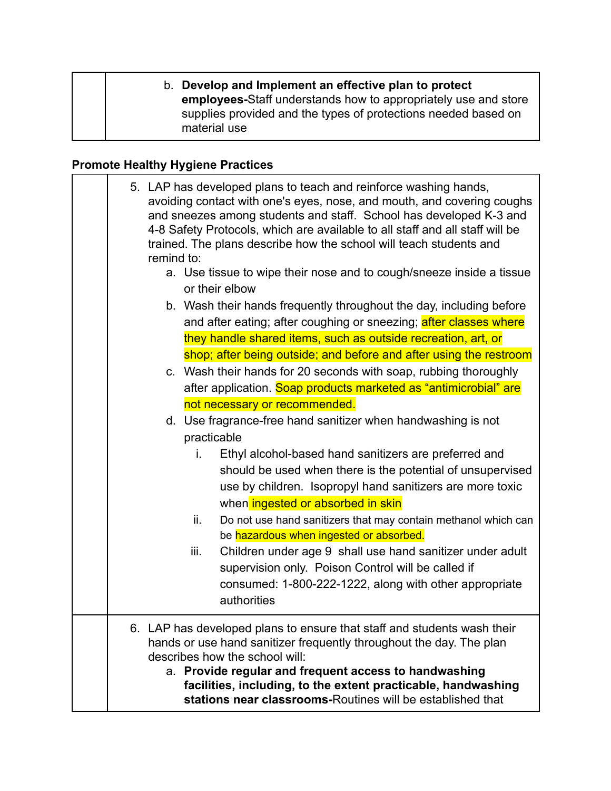#### b. **Develop and Implement an effective plan to protect employees-**Staff understands how to appropriately use and store supplies provided and the types of protections needed based on material use

#### **Promote Healthy Hygiene Practices**

| 5. LAP has developed plans to teach and reinforce washing hands,<br>avoiding contact with one's eyes, nose, and mouth, and covering coughs<br>and sneezes among students and staff. School has developed K-3 and<br>4-8 Safety Protocols, which are available to all staff and all staff will be<br>trained. The plans describe how the school will teach students and<br>remind to:<br>a. Use tissue to wipe their nose and to cough/sneeze inside a tissue<br>or their elbow<br>b. Wash their hands frequently throughout the day, including before<br>and after eating; after coughing or sneezing; after classes where<br>they handle shared items, such as outside recreation, art, or<br>shop; after being outside; and before and after using the restroom<br>c. Wash their hands for 20 seconds with soap, rubbing thoroughly<br>after application. Soap products marketed as "antimicrobial" are<br>not necessary or recommended.<br>d. Use fragrance-free hand sanitizer when handwashing is not |                                                                                                                                                                                                                                                                                                                                                                          |
|------------------------------------------------------------------------------------------------------------------------------------------------------------------------------------------------------------------------------------------------------------------------------------------------------------------------------------------------------------------------------------------------------------------------------------------------------------------------------------------------------------------------------------------------------------------------------------------------------------------------------------------------------------------------------------------------------------------------------------------------------------------------------------------------------------------------------------------------------------------------------------------------------------------------------------------------------------------------------------------------------------|--------------------------------------------------------------------------------------------------------------------------------------------------------------------------------------------------------------------------------------------------------------------------------------------------------------------------------------------------------------------------|
|                                                                                                                                                                                                                                                                                                                                                                                                                                                                                                                                                                                                                                                                                                                                                                                                                                                                                                                                                                                                            | practicable                                                                                                                                                                                                                                                                                                                                                              |
|                                                                                                                                                                                                                                                                                                                                                                                                                                                                                                                                                                                                                                                                                                                                                                                                                                                                                                                                                                                                            | i.<br>Ethyl alcohol-based hand sanitizers are preferred and<br>should be used when there is the potential of unsupervised<br>use by children. Isopropyl hand sanitizers are more toxic<br>when ingested or absorbed in skin<br>Do not use hand sanitizers that may contain methanol which can<br>ii.                                                                     |
|                                                                                                                                                                                                                                                                                                                                                                                                                                                                                                                                                                                                                                                                                                                                                                                                                                                                                                                                                                                                            | be hazardous when ingested or absorbed.                                                                                                                                                                                                                                                                                                                                  |
|                                                                                                                                                                                                                                                                                                                                                                                                                                                                                                                                                                                                                                                                                                                                                                                                                                                                                                                                                                                                            | iii.<br>Children under age 9 shall use hand sanitizer under adult<br>supervision only. Poison Control will be called if<br>consumed: 1-800-222-1222, along with other appropriate<br>authorities                                                                                                                                                                         |
|                                                                                                                                                                                                                                                                                                                                                                                                                                                                                                                                                                                                                                                                                                                                                                                                                                                                                                                                                                                                            | 6. LAP has developed plans to ensure that staff and students wash their<br>hands or use hand sanitizer frequently throughout the day. The plan<br>describes how the school will:<br>a. Provide regular and frequent access to handwashing<br>facilities, including, to the extent practicable, handwashing<br>stations near classrooms-Routines will be established that |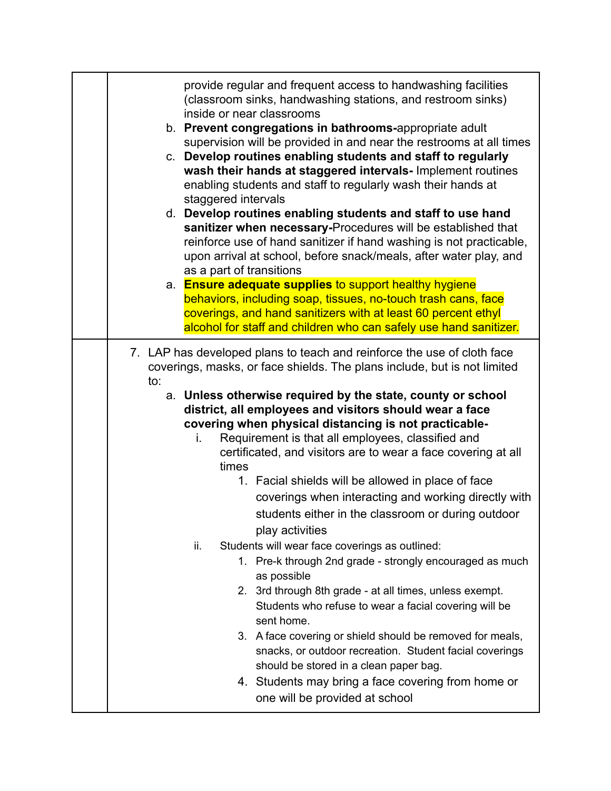| provide regular and frequent access to handwashing facilities<br>(classroom sinks, handwashing stations, and restroom sinks)<br>inside or near classrooms<br>b. Prevent congregations in bathrooms-appropriate adult<br>supervision will be provided in and near the restrooms at all times<br>c. Develop routines enabling students and staff to regularly<br>wash their hands at staggered intervals- Implement routines<br>enabling students and staff to regularly wash their hands at<br>staggered intervals<br>d. Develop routines enabling students and staff to use hand<br>sanitizer when necessary-Procedures will be established that<br>reinforce use of hand sanitizer if hand washing is not practicable,<br>upon arrival at school, before snack/meals, after water play, and<br>as a part of transitions<br>a. Ensure adequate supplies to support healthy hygiene<br>behaviors, including soap, tissues, no-touch trash cans, face<br>coverings, and hand sanitizers with at least 60 percent ethyl<br>alcohol for staff and children who can safely use hand sanitizer.                                                                               |
|-------------------------------------------------------------------------------------------------------------------------------------------------------------------------------------------------------------------------------------------------------------------------------------------------------------------------------------------------------------------------------------------------------------------------------------------------------------------------------------------------------------------------------------------------------------------------------------------------------------------------------------------------------------------------------------------------------------------------------------------------------------------------------------------------------------------------------------------------------------------------------------------------------------------------------------------------------------------------------------------------------------------------------------------------------------------------------------------------------------------------------------------------------------------------|
| 7. LAP has developed plans to teach and reinforce the use of cloth face<br>coverings, masks, or face shields. The plans include, but is not limited<br>to:<br>a. Unless otherwise required by the state, county or school<br>district, all employees and visitors should wear a face<br>covering when physical distancing is not practicable-<br>Requirement is that all employees, classified and<br>i.<br>certificated, and visitors are to wear a face covering at all<br>times<br>1. Facial shields will be allowed in place of face<br>coverings when interacting and working directly with<br>students either in the classroom or during outdoor<br>play activities<br>Students will wear face coverings as outlined:<br>ii.<br>1. Pre-k through 2nd grade - strongly encouraged as much<br>as possible<br>2. 3rd through 8th grade - at all times, unless exempt.<br>Students who refuse to wear a facial covering will be<br>sent home.<br>3. A face covering or shield should be removed for meals,<br>snacks, or outdoor recreation. Student facial coverings<br>should be stored in a clean paper bag.<br>4. Students may bring a face covering from home or |
| one will be provided at school                                                                                                                                                                                                                                                                                                                                                                                                                                                                                                                                                                                                                                                                                                                                                                                                                                                                                                                                                                                                                                                                                                                                          |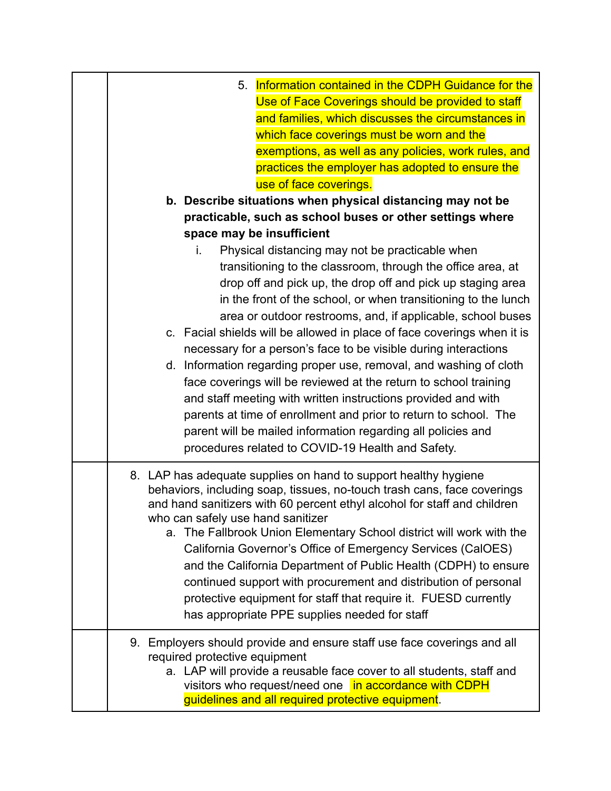| 5. Information contained in the CDPH Guidance for the<br>Use of Face Coverings should be provided to staff<br>and families, which discusses the circumstances in<br>which face coverings must be worn and the<br>exemptions, as well as any policies, work rules, and<br>practices the employer has adopted to ensure the<br>use of face coverings. |
|-----------------------------------------------------------------------------------------------------------------------------------------------------------------------------------------------------------------------------------------------------------------------------------------------------------------------------------------------------|
| b. Describe situations when physical distancing may not be                                                                                                                                                                                                                                                                                          |
| practicable, such as school buses or other settings where                                                                                                                                                                                                                                                                                           |
| space may be insufficient                                                                                                                                                                                                                                                                                                                           |
| Physical distancing may not be practicable when<br>i.<br>transitioning to the classroom, through the office area, at<br>drop off and pick up, the drop off and pick up staging area<br>in the front of the school, or when transitioning to the lunch<br>area or outdoor restrooms, and, if applicable, school buses                                |
| c. Facial shields will be allowed in place of face coverings when it is                                                                                                                                                                                                                                                                             |
| necessary for a person's face to be visible during interactions                                                                                                                                                                                                                                                                                     |
| d. Information regarding proper use, removal, and washing of cloth                                                                                                                                                                                                                                                                                  |
| face coverings will be reviewed at the return to school training                                                                                                                                                                                                                                                                                    |
| and staff meeting with written instructions provided and with                                                                                                                                                                                                                                                                                       |
| parents at time of enrollment and prior to return to school. The<br>parent will be mailed information regarding all policies and                                                                                                                                                                                                                    |
| procedures related to COVID-19 Health and Safety.                                                                                                                                                                                                                                                                                                   |
|                                                                                                                                                                                                                                                                                                                                                     |
| 8. LAP has adequate supplies on hand to support healthy hygiene<br>behaviors, including soap, tissues, no-touch trash cans, face coverings<br>and hand sanitizers with 60 percent ethyl alcohol for staff and children<br>who can safely use hand sanitizer<br>a. The Fallbrook Union Elementary School district will work with the                 |
| California Governor's Office of Emergency Services (CalOES)                                                                                                                                                                                                                                                                                         |
| and the California Department of Public Health (CDPH) to ensure                                                                                                                                                                                                                                                                                     |
| continued support with procurement and distribution of personal                                                                                                                                                                                                                                                                                     |
| protective equipment for staff that require it. FUESD currently                                                                                                                                                                                                                                                                                     |
| has appropriate PPE supplies needed for staff                                                                                                                                                                                                                                                                                                       |
| 9. Employers should provide and ensure staff use face coverings and all<br>required protective equipment<br>a. LAP will provide a reusable face cover to all students, staff and<br>visitors who request/need one in accordance with CDPH<br>guidelines and all required protective equipment.                                                      |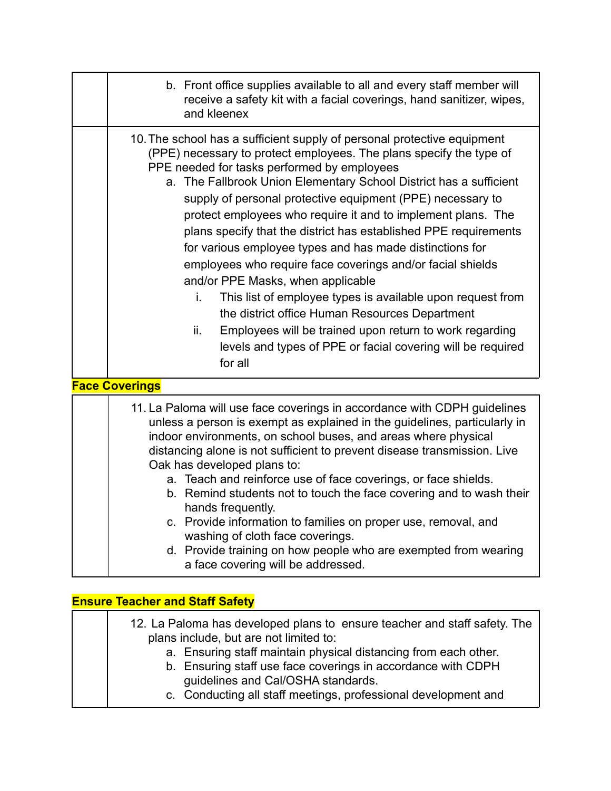| b. Front office supplies available to all and every staff member will<br>receive a safety kit with a facial coverings, hand sanitizer, wipes,<br>and kleenex                                                                                                                                                                                                                                                                                                                                                                                                                                                                                                                                                                                                                                                                                                                                           |
|--------------------------------------------------------------------------------------------------------------------------------------------------------------------------------------------------------------------------------------------------------------------------------------------------------------------------------------------------------------------------------------------------------------------------------------------------------------------------------------------------------------------------------------------------------------------------------------------------------------------------------------------------------------------------------------------------------------------------------------------------------------------------------------------------------------------------------------------------------------------------------------------------------|
| 10. The school has a sufficient supply of personal protective equipment<br>(PPE) necessary to protect employees. The plans specify the type of<br>PPE needed for tasks performed by employees<br>a. The Fallbrook Union Elementary School District has a sufficient<br>supply of personal protective equipment (PPE) necessary to<br>protect employees who require it and to implement plans. The<br>plans specify that the district has established PPE requirements<br>for various employee types and has made distinctions for<br>employees who require face coverings and/or facial shields<br>and/or PPE Masks, when applicable<br>This list of employee types is available upon request from<br>i.<br>the district office Human Resources Department<br>Employees will be trained upon return to work regarding<br>ii.<br>levels and types of PPE or facial covering will be required<br>for all |
| <b>Face Coverings</b>                                                                                                                                                                                                                                                                                                                                                                                                                                                                                                                                                                                                                                                                                                                                                                                                                                                                                  |
| 11. La Paloma will use face coverings in accordance with CDPH guidelines<br>unless a person is exempt as explained in the guidelines, particularly in<br>indoor environments, on school buses, and areas where physical<br>distancing alone is not sufficient to prevent disease transmission. Live<br>Oak has developed plans to:<br>a. Teach and reinforce use of face coverings, or face shields.<br>b. Remind students not to touch the face covering and to wash their<br>hands frequently.<br>c. Provide information to families on proper use, removal, and<br>washing of cloth face coverings.<br>d. Provide training on how people who are exempted from wearing<br>a face covering will be addressed.                                                                                                                                                                                        |

| <b>Ensure Teacher and Staff Safety</b> |                                                                                                                                                                                                                                                                                                                                                                |  |  |
|----------------------------------------|----------------------------------------------------------------------------------------------------------------------------------------------------------------------------------------------------------------------------------------------------------------------------------------------------------------------------------------------------------------|--|--|
|                                        | 12. La Paloma has developed plans to ensure teacher and staff safety. The<br>plans include, but are not limited to:<br>a. Ensuring staff maintain physical distancing from each other.<br>b. Ensuring staff use face coverings in accordance with CDPH<br>guidelines and Cal/OSHA standards.<br>c. Conducting all staff meetings, professional development and |  |  |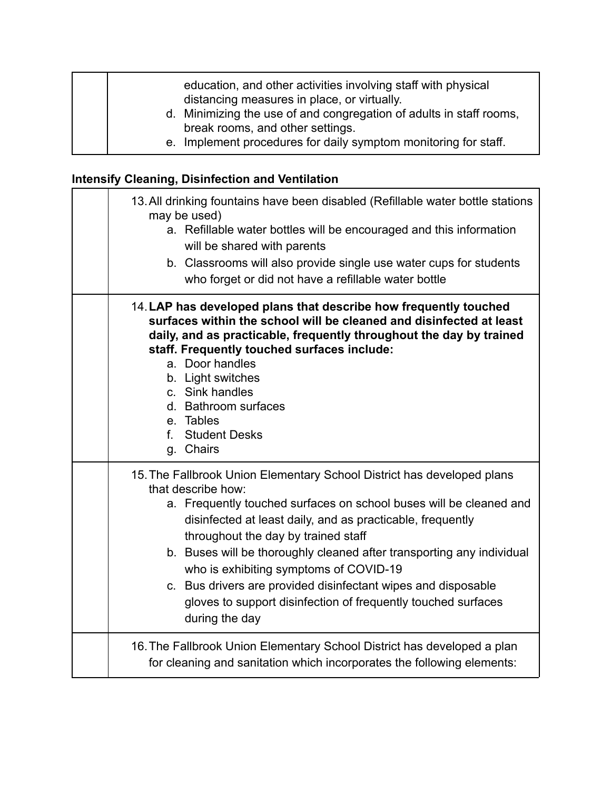| education, and other activities involving staff with physical<br>distancing measures in place, or virtually. |
|--------------------------------------------------------------------------------------------------------------|
| d. Minimizing the use of and congregation of adults in staff rooms,<br>break rooms, and other settings.      |
| e. Implement procedures for daily symptom monitoring for staff.                                              |

# **Intensify Cleaning, Disinfection and Ventilation**

| 13. All drinking fountains have been disabled (Refillable water bottle stations<br>may be used)<br>a. Refillable water bottles will be encouraged and this information<br>will be shared with parents<br>b. Classrooms will also provide single use water cups for students<br>who forget or did not have a refillable water bottle                                                                                                                                                                                                            |
|------------------------------------------------------------------------------------------------------------------------------------------------------------------------------------------------------------------------------------------------------------------------------------------------------------------------------------------------------------------------------------------------------------------------------------------------------------------------------------------------------------------------------------------------|
| 14. LAP has developed plans that describe how frequently touched<br>surfaces within the school will be cleaned and disinfected at least<br>daily, and as practicable, frequently throughout the day by trained<br>staff. Frequently touched surfaces include:<br>a. Door handles<br>b. Light switches<br>c. Sink handles<br>d. Bathroom surfaces<br>e. Tables<br>f. Student Desks<br>g. Chairs                                                                                                                                                 |
| 15. The Fallbrook Union Elementary School District has developed plans<br>that describe how:<br>a. Frequently touched surfaces on school buses will be cleaned and<br>disinfected at least daily, and as practicable, frequently<br>throughout the day by trained staff<br>b. Buses will be thoroughly cleaned after transporting any individual<br>who is exhibiting symptoms of COVID-19<br>c. Bus drivers are provided disinfectant wipes and disposable<br>gloves to support disinfection of frequently touched surfaces<br>during the day |
| 16. The Fallbrook Union Elementary School District has developed a plan<br>for cleaning and sanitation which incorporates the following elements:                                                                                                                                                                                                                                                                                                                                                                                              |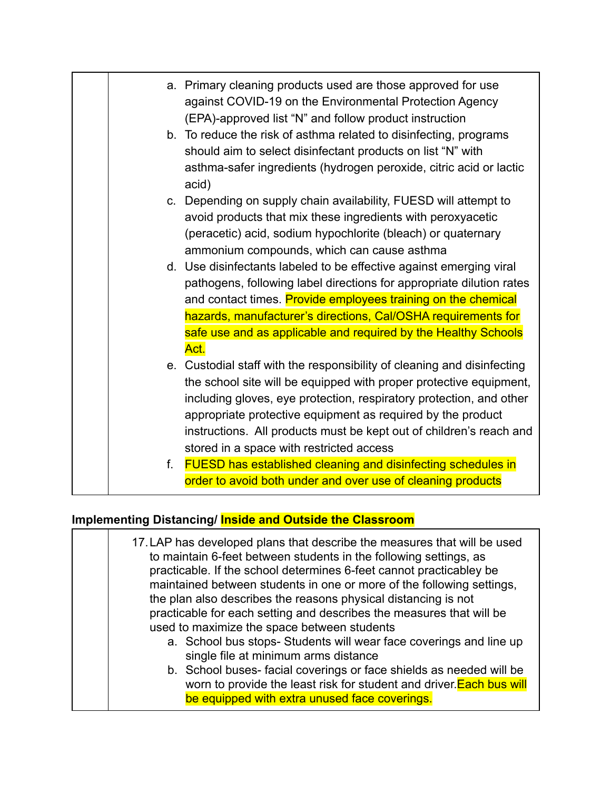|    | a. Primary cleaning products used are those approved for use<br>against COVID-19 on the Environmental Protection Agency<br>(EPA)-approved list "N" and follow product instruction                                                                                                                                                                                                                      |
|----|--------------------------------------------------------------------------------------------------------------------------------------------------------------------------------------------------------------------------------------------------------------------------------------------------------------------------------------------------------------------------------------------------------|
|    | b. To reduce the risk of asthma related to disinfecting, programs<br>should aim to select disinfectant products on list "N" with<br>asthma-safer ingredients (hydrogen peroxide, citric acid or lactic<br>acid)                                                                                                                                                                                        |
|    | c. Depending on supply chain availability, FUESD will attempt to<br>avoid products that mix these ingredients with peroxyacetic<br>(peracetic) acid, sodium hypochlorite (bleach) or quaternary<br>ammonium compounds, which can cause asthma                                                                                                                                                          |
|    | d. Use disinfectants labeled to be effective against emerging viral<br>pathogens, following label directions for appropriate dilution rates<br>and contact times. Provide employees training on the chemical<br>hazards, manufacturer's directions, Cal/OSHA requirements for<br>safe use and as applicable and required by the Healthy Schools<br>Act.                                                |
|    | e. Custodial staff with the responsibility of cleaning and disinfecting<br>the school site will be equipped with proper protective equipment,<br>including gloves, eye protection, respiratory protection, and other<br>appropriate protective equipment as required by the product<br>instructions. All products must be kept out of children's reach and<br>stored in a space with restricted access |
| f. | <b>FUESD has established cleaning and disinfecting schedules in</b><br>order to avoid both under and over use of cleaning products                                                                                                                                                                                                                                                                     |

# **Implementing Distancing/ Inside and Outside the Classroom**

| 17. LAP has developed plans that describe the measures that will be used<br>to maintain 6-feet between students in the following settings, as<br>practicable. If the school determines 6-feet cannot practicabley be<br>maintained between students in one or more of the following settings,<br>the plan also describes the reasons physical distancing is not<br>practicable for each setting and describes the measures that will be<br>used to maximize the space between students |
|----------------------------------------------------------------------------------------------------------------------------------------------------------------------------------------------------------------------------------------------------------------------------------------------------------------------------------------------------------------------------------------------------------------------------------------------------------------------------------------|
| a. School bus stops-Students will wear face coverings and line up<br>single file at minimum arms distance                                                                                                                                                                                                                                                                                                                                                                              |
| b. School buses-facial coverings or face shields as needed will be<br>worn to provide the least risk for student and driver. Each bus will<br>be equipped with extra unused face coverings.                                                                                                                                                                                                                                                                                            |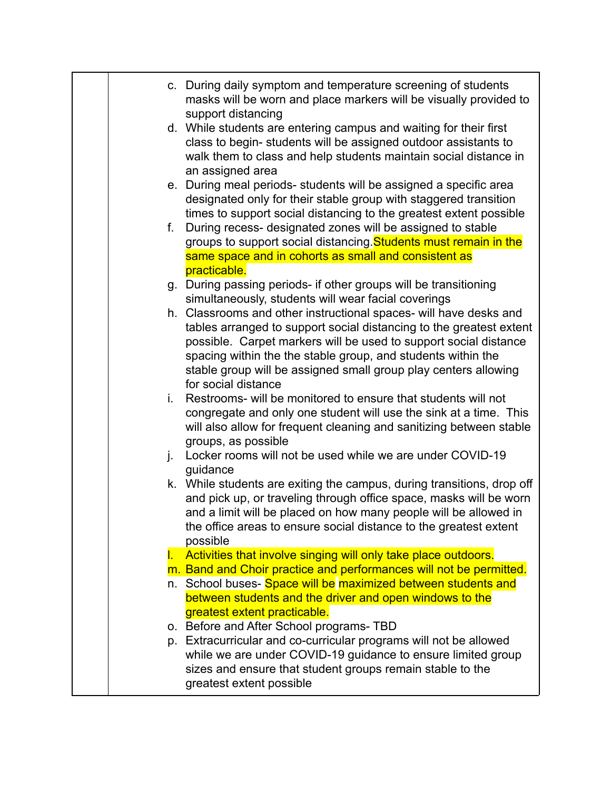|    | c. During daily symptom and temperature screening of students<br>masks will be worn and place markers will be visually provided to           |
|----|----------------------------------------------------------------------------------------------------------------------------------------------|
|    | support distancing                                                                                                                           |
|    | d. While students are entering campus and waiting for their first                                                                            |
|    | class to begin-students will be assigned outdoor assistants to<br>walk them to class and help students maintain social distance in           |
|    | an assigned area                                                                                                                             |
|    | e. During meal periods-students will be assigned a specific area                                                                             |
|    | designated only for their stable group with staggered transition                                                                             |
|    | times to support social distancing to the greatest extent possible                                                                           |
| f. | During recess- designated zones will be assigned to stable                                                                                   |
|    | groups to support social distancing. Students must remain in the                                                                             |
|    | same space and in cohorts as small and consistent as                                                                                         |
|    | practicable.<br>g. During passing periods- if other groups will be transitioning                                                             |
|    | simultaneously, students will wear facial coverings                                                                                          |
|    | h. Classrooms and other instructional spaces- will have desks and                                                                            |
|    | tables arranged to support social distancing to the greatest extent                                                                          |
|    | possible. Carpet markers will be used to support social distance                                                                             |
|    | spacing within the the stable group, and students within the                                                                                 |
|    | stable group will be assigned small group play centers allowing                                                                              |
| i. | for social distance<br>Restrooms- will be monitored to ensure that students will not                                                         |
|    | congregate and only one student will use the sink at a time. This                                                                            |
|    | will also allow for frequent cleaning and sanitizing between stable                                                                          |
|    | groups, as possible                                                                                                                          |
| j. | Locker rooms will not be used while we are under COVID-19                                                                                    |
|    | guidance                                                                                                                                     |
|    | k. While students are exiting the campus, during transitions, drop off<br>and pick up, or traveling through office space, masks will be worn |
|    | and a limit will be placed on how many people will be allowed in                                                                             |
|    | the office areas to ensure social distance to the greatest extent                                                                            |
|    | possible                                                                                                                                     |
|    | <b>I.</b> Activities that involve singing will only take place outdoors.                                                                     |
|    | m. Band and Choir practice and performances will not be permitted.                                                                           |
|    | n. School buses- Space will be maximized between students and                                                                                |
|    | between students and the driver and open windows to the<br>greatest extent practicable.                                                      |
|    | o. Before and After School programs-TBD                                                                                                      |
|    | p. Extracurricular and co-curricular programs will not be allowed                                                                            |
|    | while we are under COVID-19 guidance to ensure limited group                                                                                 |
|    | sizes and ensure that student groups remain stable to the                                                                                    |
|    | greatest extent possible                                                                                                                     |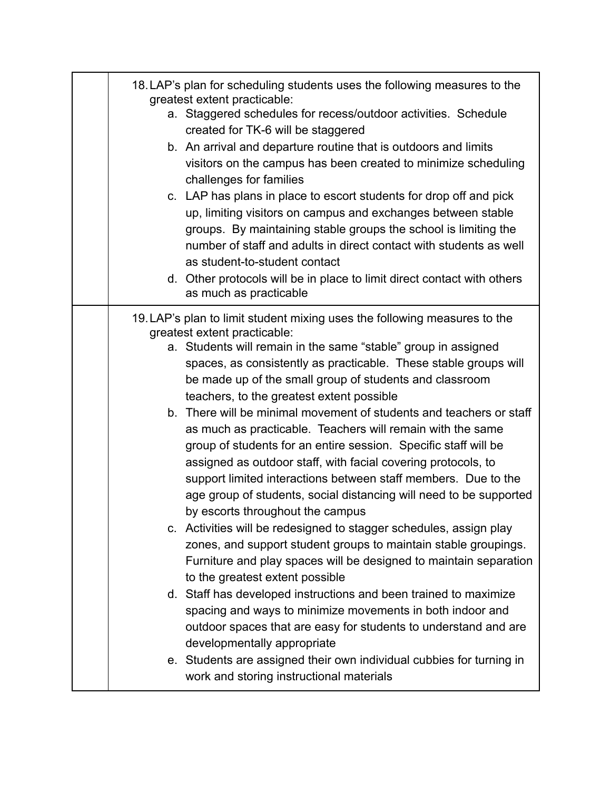| 18. LAP's plan for scheduling students uses the following measures to the<br>greatest extent practicable:<br>a. Staggered schedules for recess/outdoor activities. Schedule<br>created for TK-6 will be staggered                                                                                                                                                                                                                                                                                                                                                                                                                                                                                                                                                                                                                                                                                                                                                                                                                                                                                                                                                                                                                                                                                                                                                                                                    |
|----------------------------------------------------------------------------------------------------------------------------------------------------------------------------------------------------------------------------------------------------------------------------------------------------------------------------------------------------------------------------------------------------------------------------------------------------------------------------------------------------------------------------------------------------------------------------------------------------------------------------------------------------------------------------------------------------------------------------------------------------------------------------------------------------------------------------------------------------------------------------------------------------------------------------------------------------------------------------------------------------------------------------------------------------------------------------------------------------------------------------------------------------------------------------------------------------------------------------------------------------------------------------------------------------------------------------------------------------------------------------------------------------------------------|
| b. An arrival and departure routine that is outdoors and limits<br>visitors on the campus has been created to minimize scheduling<br>challenges for families<br>c. LAP has plans in place to escort students for drop off and pick<br>up, limiting visitors on campus and exchanges between stable<br>groups. By maintaining stable groups the school is limiting the<br>number of staff and adults in direct contact with students as well<br>as student-to-student contact<br>d. Other protocols will be in place to limit direct contact with others<br>as much as practicable                                                                                                                                                                                                                                                                                                                                                                                                                                                                                                                                                                                                                                                                                                                                                                                                                                    |
| 19. LAP's plan to limit student mixing uses the following measures to the<br>greatest extent practicable:<br>a. Students will remain in the same "stable" group in assigned<br>spaces, as consistently as practicable. These stable groups will<br>be made up of the small group of students and classroom<br>teachers, to the greatest extent possible<br>b. There will be minimal movement of students and teachers or staff<br>as much as practicable. Teachers will remain with the same<br>group of students for an entire session. Specific staff will be<br>assigned as outdoor staff, with facial covering protocols, to<br>support limited interactions between staff members. Due to the<br>age group of students, social distancing will need to be supported<br>by escorts throughout the campus<br>c. Activities will be redesigned to stagger schedules, assign play<br>zones, and support student groups to maintain stable groupings.<br>Furniture and play spaces will be designed to maintain separation<br>to the greatest extent possible<br>d. Staff has developed instructions and been trained to maximize<br>spacing and ways to minimize movements in both indoor and<br>outdoor spaces that are easy for students to understand and are<br>developmentally appropriate<br>e. Students are assigned their own individual cubbies for turning in<br>work and storing instructional materials |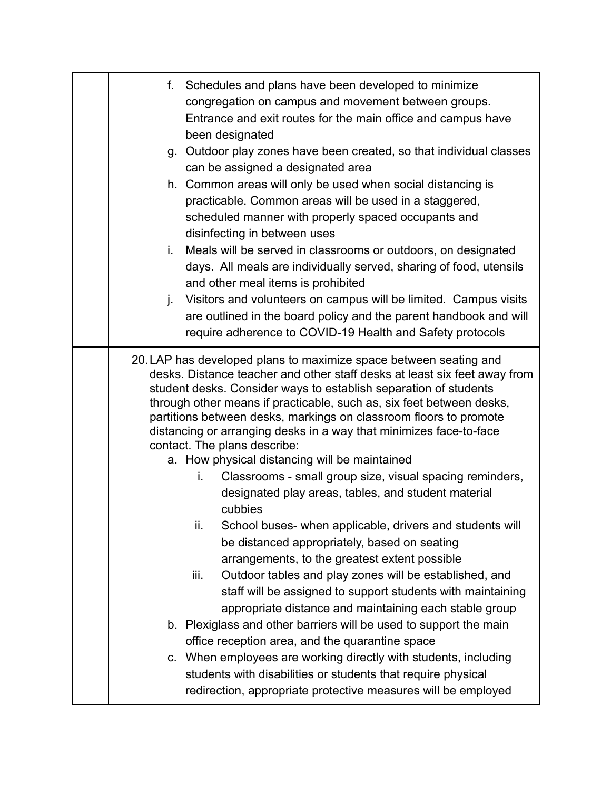| f. Schedules and plans have been developed to minimize<br>congregation on campus and movement between groups.<br>Entrance and exit routes for the main office and campus have<br>been designated<br>g. Outdoor play zones have been created, so that individual classes<br>can be assigned a designated area<br>h. Common areas will only be used when social distancing is<br>practicable. Common areas will be used in a staggered,<br>scheduled manner with properly spaced occupants and<br>disinfecting in between uses<br>Meals will be served in classrooms or outdoors, on designated<br>i.<br>days. All meals are individually served, sharing of food, utensils<br>and other meal items is prohibited<br>j. Visitors and volunteers on campus will be limited. Campus visits<br>are outlined in the board policy and the parent handbook and will<br>require adherence to COVID-19 Health and Safety protocols                                                                                                                                                                                                                                                                                                                                                                                                                              |
|-------------------------------------------------------------------------------------------------------------------------------------------------------------------------------------------------------------------------------------------------------------------------------------------------------------------------------------------------------------------------------------------------------------------------------------------------------------------------------------------------------------------------------------------------------------------------------------------------------------------------------------------------------------------------------------------------------------------------------------------------------------------------------------------------------------------------------------------------------------------------------------------------------------------------------------------------------------------------------------------------------------------------------------------------------------------------------------------------------------------------------------------------------------------------------------------------------------------------------------------------------------------------------------------------------------------------------------------------------|
| 20. LAP has developed plans to maximize space between seating and<br>desks. Distance teacher and other staff desks at least six feet away from<br>student desks. Consider ways to establish separation of students<br>through other means if practicable, such as, six feet between desks,<br>partitions between desks, markings on classroom floors to promote<br>distancing or arranging desks in a way that minimizes face-to-face<br>contact. The plans describe:<br>a. How physical distancing will be maintained<br>Classrooms - small group size, visual spacing reminders,<br>i.<br>designated play areas, tables, and student material<br>cubbies<br>School buses- when applicable, drivers and students will<br>ii.<br>be distanced appropriately, based on seating<br>arrangements, to the greatest extent possible<br>iii.<br>Outdoor tables and play zones will be established, and<br>staff will be assigned to support students with maintaining<br>appropriate distance and maintaining each stable group<br>b. Plexiglass and other barriers will be used to support the main<br>office reception area, and the quarantine space<br>c. When employees are working directly with students, including<br>students with disabilities or students that require physical<br>redirection, appropriate protective measures will be employed |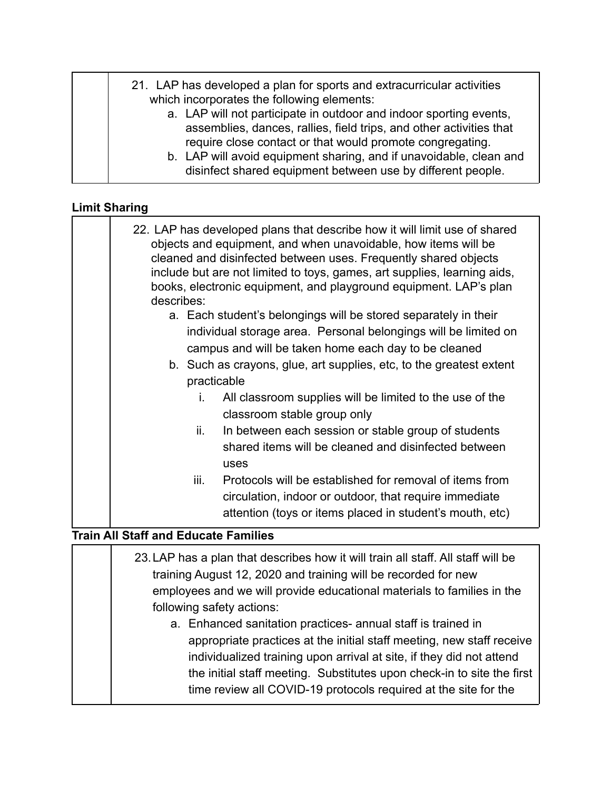| require close contact or that would promote congregating.<br>disinfect shared equipment between use by different people. |  | 21. LAP has developed a plan for sports and extracurricular activities<br>which incorporates the following elements:<br>a. LAP will not participate in outdoor and indoor sporting events,<br>assemblies, dances, rallies, field trips, and other activities that<br>b. LAP will avoid equipment sharing, and if unavoidable, clean and |
|--------------------------------------------------------------------------------------------------------------------------|--|-----------------------------------------------------------------------------------------------------------------------------------------------------------------------------------------------------------------------------------------------------------------------------------------------------------------------------------------|
|--------------------------------------------------------------------------------------------------------------------------|--|-----------------------------------------------------------------------------------------------------------------------------------------------------------------------------------------------------------------------------------------------------------------------------------------------------------------------------------------|

# **Limit Sharing**

| 22. LAP has developed plans that describe how it will limit use of shared<br>objects and equipment, and when unavoidable, how items will be<br>cleaned and disinfected between uses. Frequently shared objects<br>include but are not limited to toys, games, art supplies, learning aids,<br>books, electronic equipment, and playground equipment. LAP's plan<br>describes: |
|-------------------------------------------------------------------------------------------------------------------------------------------------------------------------------------------------------------------------------------------------------------------------------------------------------------------------------------------------------------------------------|
| a. Each student's belongings will be stored separately in their                                                                                                                                                                                                                                                                                                               |
| individual storage area. Personal belongings will be limited on                                                                                                                                                                                                                                                                                                               |
| campus and will be taken home each day to be cleaned                                                                                                                                                                                                                                                                                                                          |
| b. Such as crayons, glue, art supplies, etc, to the greatest extent                                                                                                                                                                                                                                                                                                           |
| practicable                                                                                                                                                                                                                                                                                                                                                                   |
| All classroom supplies will be limited to the use of the<br>İ.                                                                                                                                                                                                                                                                                                                |
| classroom stable group only                                                                                                                                                                                                                                                                                                                                                   |
| In between each session or stable group of students<br>ii.                                                                                                                                                                                                                                                                                                                    |
| shared items will be cleaned and disinfected between                                                                                                                                                                                                                                                                                                                          |
| uses                                                                                                                                                                                                                                                                                                                                                                          |
| Protocols will be established for removal of items from<br>iii.                                                                                                                                                                                                                                                                                                               |
| circulation, indoor or outdoor, that require immediate                                                                                                                                                                                                                                                                                                                        |
| attention (toys or items placed in student's mouth, etc)                                                                                                                                                                                                                                                                                                                      |
| Train All Staff and Educate Families                                                                                                                                                                                                                                                                                                                                          |

#### **Train All Staff and Educate Families**

| 23. LAP has a plan that describes how it will train all staff. All staff will be<br>training August 12, 2020 and training will be recorded for new<br>employees and we will provide educational materials to families in the |
|------------------------------------------------------------------------------------------------------------------------------------------------------------------------------------------------------------------------------|
| following safety actions:                                                                                                                                                                                                    |
| a. Enhanced sanitation practices- annual staff is trained in                                                                                                                                                                 |
| appropriate practices at the initial staff meeting, new staff receive                                                                                                                                                        |
| individualized training upon arrival at site, if they did not attend                                                                                                                                                         |
| the initial staff meeting. Substitutes upon check-in to site the first                                                                                                                                                       |
| time review all COVID-19 protocols required at the site for the                                                                                                                                                              |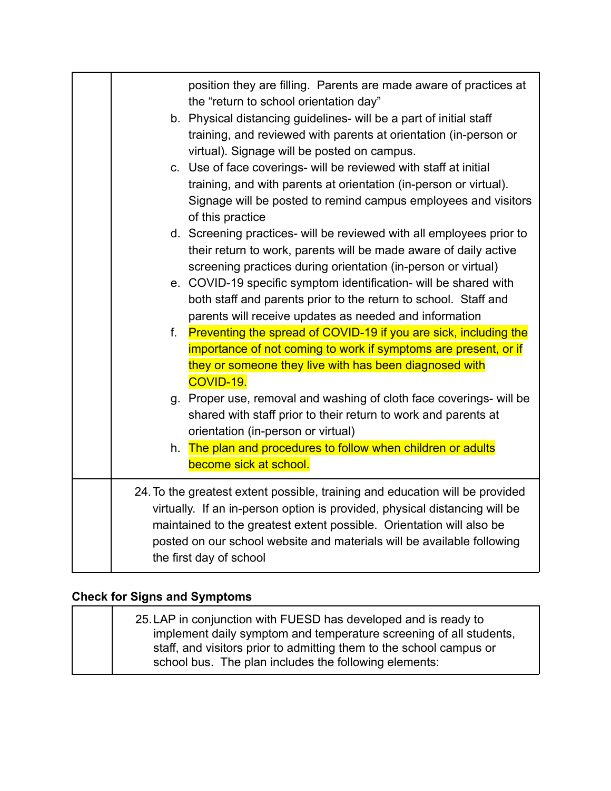|    | position they are filling. Parents are made aware of practices at<br>the "return to school orientation day" |
|----|-------------------------------------------------------------------------------------------------------------|
|    | b. Physical distancing guidelines- will be a part of initial staff                                          |
|    | training, and reviewed with parents at orientation (in-person or                                            |
|    | virtual). Signage will be posted on campus.                                                                 |
|    | c. Use of face coverings- will be reviewed with staff at initial                                            |
|    | training, and with parents at orientation (in-person or virtual).                                           |
|    | Signage will be posted to remind campus employees and visitors                                              |
|    | of this practice                                                                                            |
|    | d. Screening practices- will be reviewed with all employees prior to                                        |
|    | their return to work, parents will be made aware of daily active                                            |
|    | screening practices during orientation (in-person or virtual)                                               |
|    | e. COVID-19 specific symptom identification- will be shared with                                            |
|    | both staff and parents prior to the return to school. Staff and                                             |
|    | parents will receive updates as needed and information                                                      |
| f. | Preventing the spread of COVID-19 if you are sick, including the                                            |
|    | importance of not coming to work if symptoms are present, or if                                             |
|    | they or someone they live with has been diagnosed with                                                      |
|    | COVID-19.                                                                                                   |
|    | g. Proper use, removal and washing of cloth face coverings- will be                                         |
|    | shared with staff prior to their return to work and parents at                                              |
|    | orientation (in-person or virtual)                                                                          |
| h. | The plan and procedures to follow when children or adults                                                   |
|    | become sick at school.                                                                                      |
|    | 24. To the greatest extent possible, training and education will be provided                                |
|    | virtually. If an in-person option is provided, physical distancing will be                                  |
|    | maintained to the greatest extent possible. Orientation will also be                                        |
|    | posted on our school website and materials will be available following                                      |
|    | the first day of school                                                                                     |
|    |                                                                                                             |

# **Check for Signs and Symptoms**

| 25. LAP in conjunction with FUESD has developed and is ready to     |
|---------------------------------------------------------------------|
| implement daily symptom and temperature screening of all students,  |
| staff, and visitors prior to admitting them to the school campus or |
| school bus. The plan includes the following elements:               |
|                                                                     |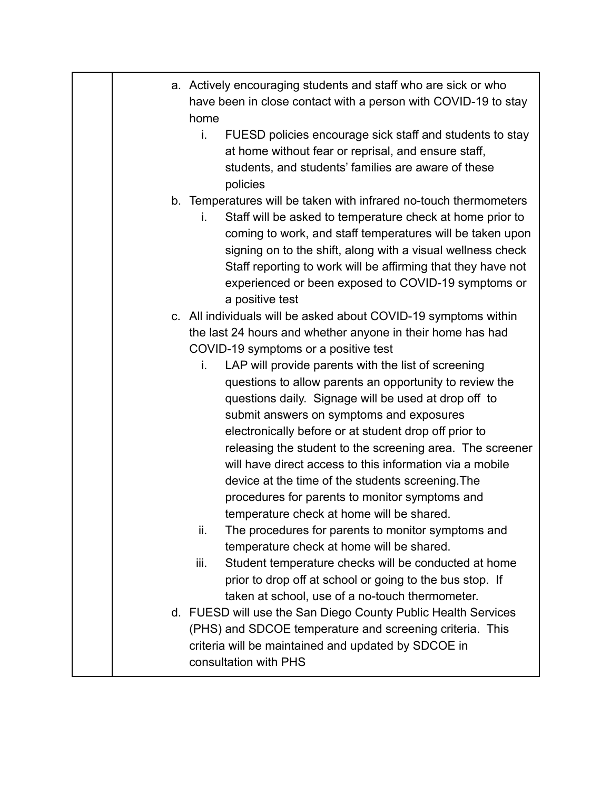|             | a. Actively encouraging students and staff who are sick or who<br>have been in close contact with a person with COVID-19 to stay<br>home<br>j.<br>FUESD policies encourage sick staff and students to stay<br>at home without fear or reprisal, and ensure staff,                                                                                                                                                                                                                                                                                                                                                                                                                                                                                                                                                                                                                                                                                                                                                                                                                                                                                                                                     |
|-------------|-------------------------------------------------------------------------------------------------------------------------------------------------------------------------------------------------------------------------------------------------------------------------------------------------------------------------------------------------------------------------------------------------------------------------------------------------------------------------------------------------------------------------------------------------------------------------------------------------------------------------------------------------------------------------------------------------------------------------------------------------------------------------------------------------------------------------------------------------------------------------------------------------------------------------------------------------------------------------------------------------------------------------------------------------------------------------------------------------------------------------------------------------------------------------------------------------------|
|             |                                                                                                                                                                                                                                                                                                                                                                                                                                                                                                                                                                                                                                                                                                                                                                                                                                                                                                                                                                                                                                                                                                                                                                                                       |
|             | students, and students' families are aware of these<br>policies                                                                                                                                                                                                                                                                                                                                                                                                                                                                                                                                                                                                                                                                                                                                                                                                                                                                                                                                                                                                                                                                                                                                       |
|             | b. Temperatures will be taken with infrared no-touch thermometers<br>Staff will be asked to temperature check at home prior to<br>i.<br>coming to work, and staff temperatures will be taken upon<br>signing on to the shift, along with a visual wellness check<br>Staff reporting to work will be affirming that they have not<br>experienced or been exposed to COVID-19 symptoms or<br>a positive test                                                                                                                                                                                                                                                                                                                                                                                                                                                                                                                                                                                                                                                                                                                                                                                            |
| ii.<br>iii. | c. All individuals will be asked about COVID-19 symptoms within<br>the last 24 hours and whether anyone in their home has had<br>COVID-19 symptoms or a positive test<br>LAP will provide parents with the list of screening<br>i.<br>questions to allow parents an opportunity to review the<br>questions daily. Signage will be used at drop off to<br>submit answers on symptoms and exposures<br>electronically before or at student drop off prior to<br>releasing the student to the screening area. The screener<br>will have direct access to this information via a mobile<br>device at the time of the students screening. The<br>procedures for parents to monitor symptoms and<br>temperature check at home will be shared.<br>The procedures for parents to monitor symptoms and<br>temperature check at home will be shared.<br>Student temperature checks will be conducted at home<br>prior to drop off at school or going to the bus stop. If<br>taken at school, use of a no-touch thermometer.<br>d. FUESD will use the San Diego County Public Health Services<br>(PHS) and SDCOE temperature and screening criteria. This<br>criteria will be maintained and updated by SDCOE in |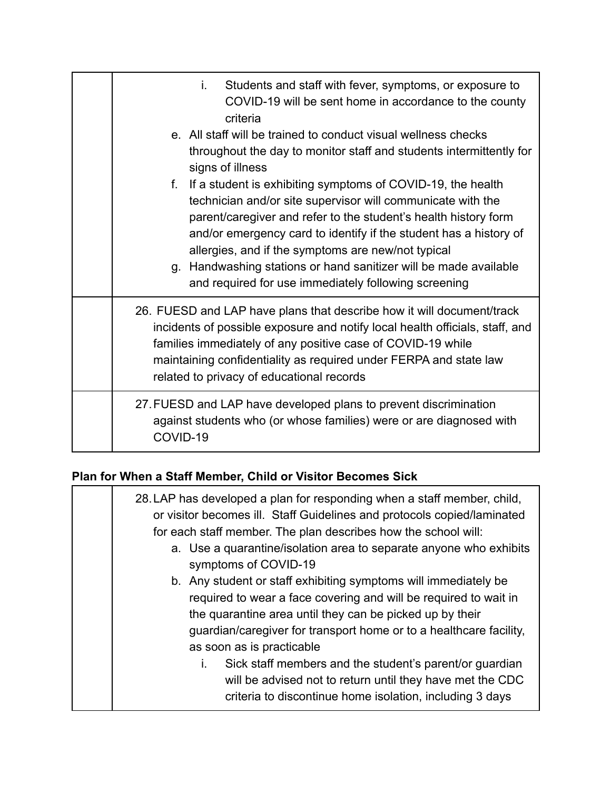| Students and staff with fever, symptoms, or exposure to<br>İ.<br>COVID-19 will be sent home in accordance to the county<br>criteria                                                                                                                                                                                                                                                                                                                        |
|------------------------------------------------------------------------------------------------------------------------------------------------------------------------------------------------------------------------------------------------------------------------------------------------------------------------------------------------------------------------------------------------------------------------------------------------------------|
| e. All staff will be trained to conduct visual wellness checks<br>throughout the day to monitor staff and students intermittently for<br>signs of illness                                                                                                                                                                                                                                                                                                  |
| If a student is exhibiting symptoms of COVID-19, the health<br>f.<br>technician and/or site supervisor will communicate with the<br>parent/caregiver and refer to the student's health history form<br>and/or emergency card to identify if the student has a history of<br>allergies, and if the symptoms are new/not typical<br>g. Handwashing stations or hand sanitizer will be made available<br>and required for use immediately following screening |
| 26. FUESD and LAP have plans that describe how it will document/track<br>incidents of possible exposure and notify local health officials, staff, and<br>families immediately of any positive case of COVID-19 while<br>maintaining confidentiality as required under FERPA and state law<br>related to privacy of educational records                                                                                                                     |
| 27. FUESD and LAP have developed plans to prevent discrimination<br>against students who (or whose families) were or are diagnosed with<br>COVID-19                                                                                                                                                                                                                                                                                                        |

### **Plan for When a Staff Member, Child or Visitor Becomes Sick**

| 28. LAP has developed a plan for responding when a staff member, child,<br>or visitor becomes ill. Staff Guidelines and protocols copied/laminated<br>for each staff member. The plan describes how the school will:<br>a. Use a quarantine/isolation area to separate anyone who exhibits<br>symptoms of COVID-19                                                                                                                                                                                     |
|--------------------------------------------------------------------------------------------------------------------------------------------------------------------------------------------------------------------------------------------------------------------------------------------------------------------------------------------------------------------------------------------------------------------------------------------------------------------------------------------------------|
| b. Any student or staff exhibiting symptoms will immediately be<br>required to wear a face covering and will be required to wait in<br>the quarantine area until they can be picked up by their<br>guardian/caregiver for transport home or to a healthcare facility,<br>as soon as is practicable<br>Sick staff members and the student's parent/or guardian<br>$\mathbf{L}$<br>will be advised not to return until they have met the CDC<br>criteria to discontinue home isolation, including 3 days |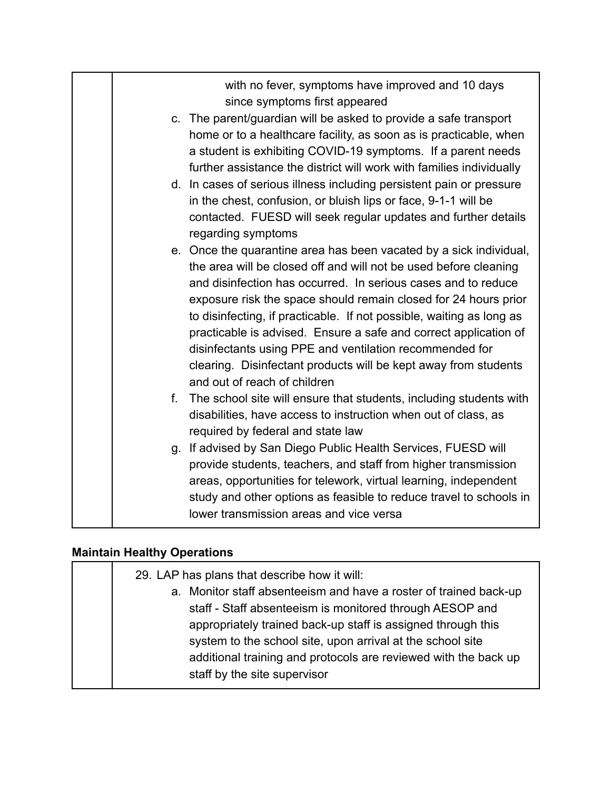|    | with no fever, symptoms have improved and 10 days<br>since symptoms first appeared                                                                                                                                                                                                                                                                                                                                                                                                                                                                                                   |
|----|--------------------------------------------------------------------------------------------------------------------------------------------------------------------------------------------------------------------------------------------------------------------------------------------------------------------------------------------------------------------------------------------------------------------------------------------------------------------------------------------------------------------------------------------------------------------------------------|
|    | c. The parent/guardian will be asked to provide a safe transport<br>home or to a healthcare facility, as soon as is practicable, when<br>a student is exhibiting COVID-19 symptoms. If a parent needs<br>further assistance the district will work with families individually                                                                                                                                                                                                                                                                                                        |
|    | d. In cases of serious illness including persistent pain or pressure<br>in the chest, confusion, or bluish lips or face, 9-1-1 will be<br>contacted. FUESD will seek regular updates and further details<br>regarding symptoms                                                                                                                                                                                                                                                                                                                                                       |
|    | e. Once the quarantine area has been vacated by a sick individual,<br>the area will be closed off and will not be used before cleaning<br>and disinfection has occurred. In serious cases and to reduce<br>exposure risk the space should remain closed for 24 hours prior<br>to disinfecting, if practicable. If not possible, waiting as long as<br>practicable is advised. Ensure a safe and correct application of<br>disinfectants using PPE and ventilation recommended for<br>clearing. Disinfectant products will be kept away from students<br>and out of reach of children |
| f. | The school site will ensure that students, including students with<br>disabilities, have access to instruction when out of class, as<br>required by federal and state law                                                                                                                                                                                                                                                                                                                                                                                                            |
|    | g. If advised by San Diego Public Health Services, FUESD will<br>provide students, teachers, and staff from higher transmission<br>areas, opportunities for telework, virtual learning, independent<br>study and other options as feasible to reduce travel to schools in<br>lower transmission areas and vice versa                                                                                                                                                                                                                                                                 |

# **Maintain Healthy Operations**

| 29. LAP has plans that describe how it will:                      |
|-------------------------------------------------------------------|
| a. Monitor staff absenteeism and have a roster of trained back-up |
| staff - Staff absenteeism is monitored through AESOP and          |
| appropriately trained back-up staff is assigned through this      |
| system to the school site, upon arrival at the school site        |
| additional training and protocols are reviewed with the back up   |
| staff by the site supervisor                                      |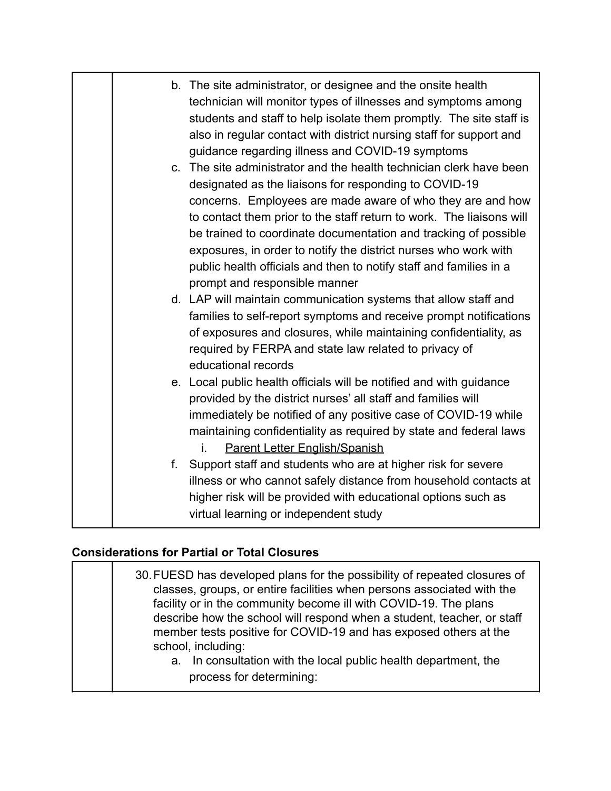|    | b. The site administrator, or designee and the onsite health<br>technician will monitor types of illnesses and symptoms among<br>students and staff to help isolate them promptly. The site staff is<br>also in regular contact with district nursing staff for support and<br>guidance regarding illness and COVID-19 symptoms                                                                                                                                                                                 |
|----|-----------------------------------------------------------------------------------------------------------------------------------------------------------------------------------------------------------------------------------------------------------------------------------------------------------------------------------------------------------------------------------------------------------------------------------------------------------------------------------------------------------------|
|    | c. The site administrator and the health technician clerk have been<br>designated as the liaisons for responding to COVID-19<br>concerns. Employees are made aware of who they are and how<br>to contact them prior to the staff return to work. The liaisons will<br>be trained to coordinate documentation and tracking of possible<br>exposures, in order to notify the district nurses who work with<br>public health officials and then to notify staff and families in a<br>prompt and responsible manner |
|    | d. LAP will maintain communication systems that allow staff and<br>families to self-report symptoms and receive prompt notifications<br>of exposures and closures, while maintaining confidentiality, as<br>required by FERPA and state law related to privacy of<br>educational records                                                                                                                                                                                                                        |
|    | e. Local public health officials will be notified and with guidance<br>provided by the district nurses' all staff and families will<br>immediately be notified of any positive case of COVID-19 while<br>maintaining confidentiality as required by state and federal laws<br>Parent Letter English/Spanish<br>İ.                                                                                                                                                                                               |
| f. | Support staff and students who are at higher risk for severe<br>illness or who cannot safely distance from household contacts at<br>higher risk will be provided with educational options such as<br>virtual learning or independent study                                                                                                                                                                                                                                                                      |

### **Considerations for Partial or Total Closures**

| 30. FUESD has developed plans for the possibility of repeated closures of<br>classes, groups, or entire facilities when persons associated with the<br>facility or in the community become ill with COVID-19. The plans<br>describe how the school will respond when a student, teacher, or staff<br>member tests positive for COVID-19 and has exposed others at the<br>school, including:<br>a. In consultation with the local public health department, the<br>process for determining: |  |
|--------------------------------------------------------------------------------------------------------------------------------------------------------------------------------------------------------------------------------------------------------------------------------------------------------------------------------------------------------------------------------------------------------------------------------------------------------------------------------------------|--|
|--------------------------------------------------------------------------------------------------------------------------------------------------------------------------------------------------------------------------------------------------------------------------------------------------------------------------------------------------------------------------------------------------------------------------------------------------------------------------------------------|--|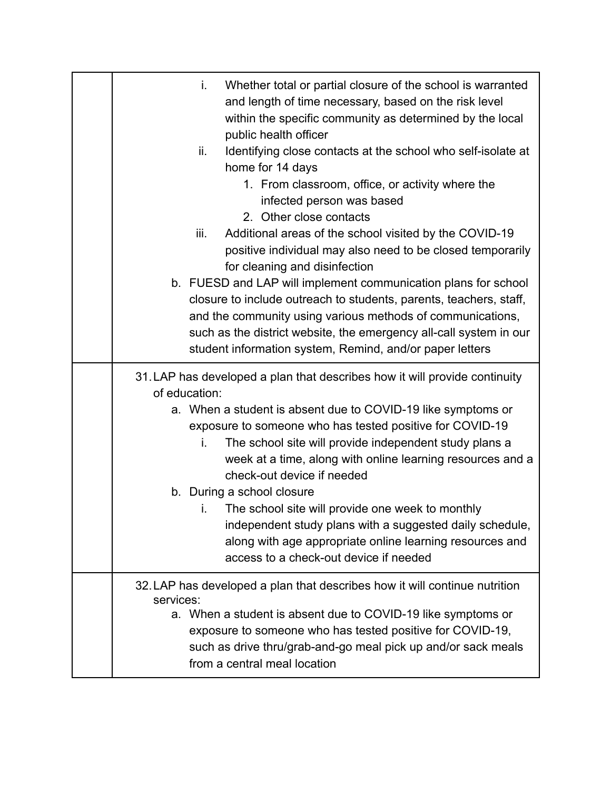| Whether total or partial closure of the school is warranted<br>j.<br>and length of time necessary, based on the risk level<br>within the specific community as determined by the local<br>public health officer<br>ii.<br>Identifying close contacts at the school who self-isolate at<br>home for 14 days<br>1. From classroom, office, or activity where the<br>infected person was based<br>2. Other close contacts<br>Additional areas of the school visited by the COVID-19<br>iii.<br>positive individual may also need to be closed temporarily<br>for cleaning and disinfection<br>b. FUESD and LAP will implement communication plans for school<br>closure to include outreach to students, parents, teachers, staff,<br>and the community using various methods of communications,<br>such as the district website, the emergency all-call system in our<br>student information system, Remind, and/or paper letters |
|---------------------------------------------------------------------------------------------------------------------------------------------------------------------------------------------------------------------------------------------------------------------------------------------------------------------------------------------------------------------------------------------------------------------------------------------------------------------------------------------------------------------------------------------------------------------------------------------------------------------------------------------------------------------------------------------------------------------------------------------------------------------------------------------------------------------------------------------------------------------------------------------------------------------------------|
| 31. LAP has developed a plan that describes how it will provide continuity<br>of education:<br>a. When a student is absent due to COVID-19 like symptoms or<br>exposure to someone who has tested positive for COVID-19<br>The school site will provide independent study plans a<br>i.<br>week at a time, along with online learning resources and a<br>check-out device if needed<br>b. During a school closure<br>The school site will provide one week to monthly<br>i.<br>independent study plans with a suggested daily schedule,<br>along with age appropriate online learning resources and<br>access to a check-out device if needed                                                                                                                                                                                                                                                                                   |
| 32. LAP has developed a plan that describes how it will continue nutrition<br>services:<br>a. When a student is absent due to COVID-19 like symptoms or<br>exposure to someone who has tested positive for COVID-19,<br>such as drive thru/grab-and-go meal pick up and/or sack meals<br>from a central meal location                                                                                                                                                                                                                                                                                                                                                                                                                                                                                                                                                                                                           |